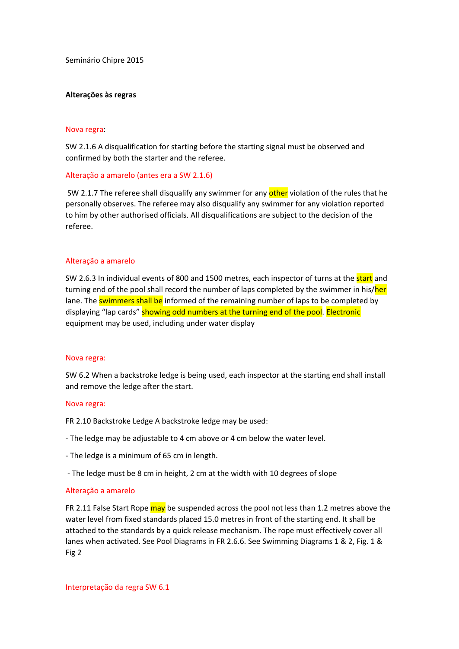Seminário Chipre 2015

## **Alterações às regras**

#### Nova regra:

SW 2.1.6 A disqualification for starting before the starting signal must be observed and confirmed by both the starter and the referee.

### Alteração a amarelo (antes era a SW 2.1.6)

SW 2.1.7 The referee shall disqualify any swimmer for any other violation of the rules that he personally observes. The referee may also disqualify any swimmer for any violation reported to him by other authorised officials. All disqualifications are subject to the decision of the referee.

### Alteração a amarelo

SW 2.6.3 In individual events of 800 and 1500 metres, each inspector of turns at the start and turning end of the pool shall record the number of laps completed by the swimmer in his/her lane. The swimmers shall be informed of the remaining number of laps to be completed by displaying "lap cards" showing odd numbers at the turning end of the pool. Electronic equipment may be used, including under water display

#### Nova regra:

SW 6.2 When a backstroke ledge is being used, each inspector at the starting end shall install and remove the ledge after the start.

#### Nova regra:

FR 2.10 Backstroke Ledge A backstroke ledge may be used:

- The ledge may be adjustable to 4 cm above or 4 cm below the water level.
- The ledge is a minimum of 65 cm in length.
- The ledge must be 8 cm in height, 2 cm at the width with 10 degrees of slope

#### Alteração a amarelo

FR 2.11 False Start Rope may be suspended across the pool not less than 1.2 metres above the water level from fixed standards placed 15.0 metres in front of the starting end. It shall be attached to the standards by a quick release mechanism. The rope must effectively cover all lanes when activated. See Pool Diagrams in FR 2.6.6. See Swimming Diagrams 1 & 2, Fig. 1 & Fig 2